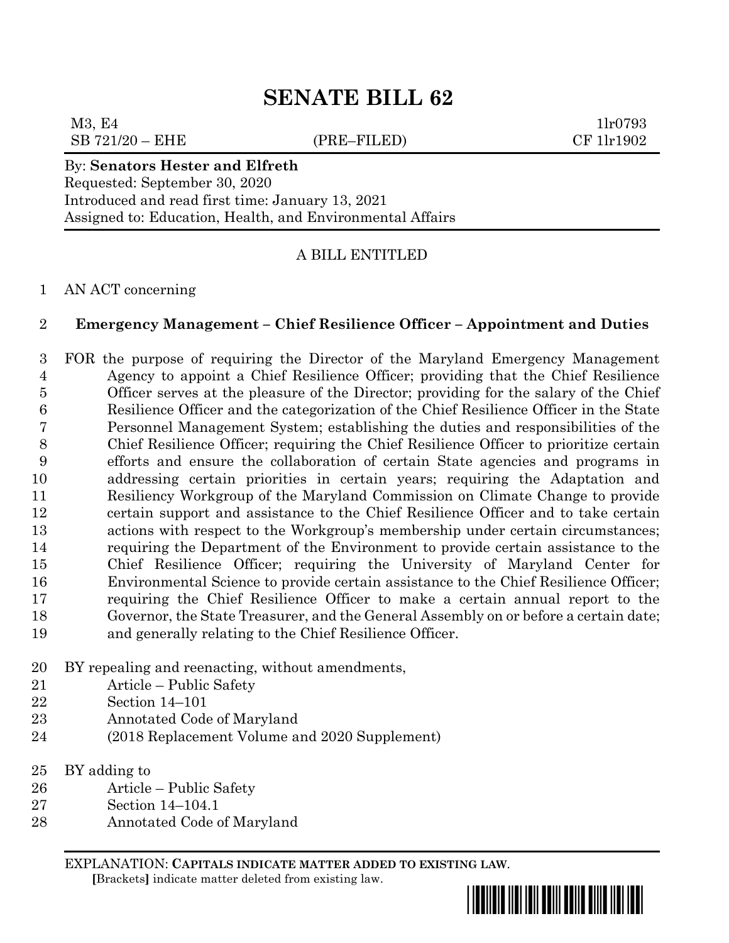# **SENATE BILL 62**

 $M3, E4$  1lr0793  $SB 721/20 - EHE$  (PRE–FILED) CF 1lr1902

# By: **Senators Hester and Elfreth**

Requested: September 30, 2020 Introduced and read first time: January 13, 2021 Assigned to: Education, Health, and Environmental Affairs

## A BILL ENTITLED

#### AN ACT concerning

#### **Emergency Management – Chief Resilience Officer – Appointment and Duties**

 FOR the purpose of requiring the Director of the Maryland Emergency Management Agency to appoint a Chief Resilience Officer; providing that the Chief Resilience Officer serves at the pleasure of the Director; providing for the salary of the Chief Resilience Officer and the categorization of the Chief Resilience Officer in the State Personnel Management System; establishing the duties and responsibilities of the Chief Resilience Officer; requiring the Chief Resilience Officer to prioritize certain efforts and ensure the collaboration of certain State agencies and programs in addressing certain priorities in certain years; requiring the Adaptation and Resiliency Workgroup of the Maryland Commission on Climate Change to provide certain support and assistance to the Chief Resilience Officer and to take certain actions with respect to the Workgroup's membership under certain circumstances; requiring the Department of the Environment to provide certain assistance to the Chief Resilience Officer; requiring the University of Maryland Center for Environmental Science to provide certain assistance to the Chief Resilience Officer; requiring the Chief Resilience Officer to make a certain annual report to the Governor, the State Treasurer, and the General Assembly on or before a certain date; and generally relating to the Chief Resilience Officer.

- BY repealing and reenacting, without amendments,
- Article Public Safety
- Section 14–101
- Annotated Code of Maryland
- (2018 Replacement Volume and 2020 Supplement)
- BY adding to
- Article Public Safety
- Section 14–104.1
- Annotated Code of Maryland

EXPLANATION: **CAPITALS INDICATE MATTER ADDED TO EXISTING LAW**.  **[**Brackets**]** indicate matter deleted from existing law.

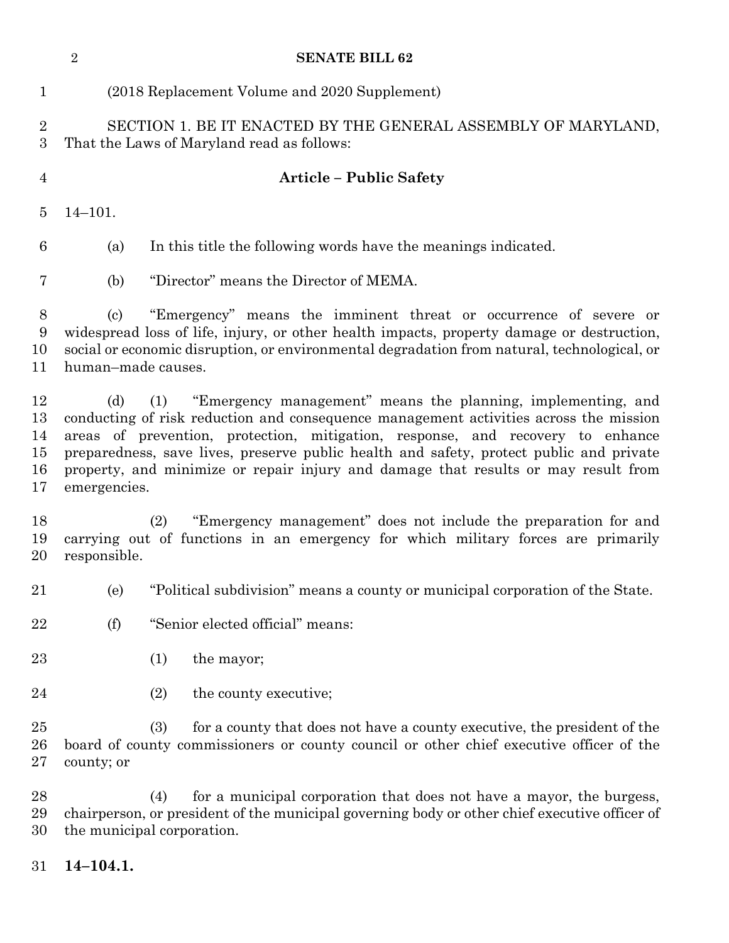(2018 Replacement Volume and 2020 Supplement) SECTION 1. BE IT ENACTED BY THE GENERAL ASSEMBLY OF MARYLAND, That the Laws of Maryland read as follows: **Article – Public Safety** 14–101. (a) In this title the following words have the meanings indicated. (b) "Director" means the Director of MEMA. (c) "Emergency" means the imminent threat or occurrence of severe or widespread loss of life, injury, or other health impacts, property damage or destruction, social or economic disruption, or environmental degradation from natural, technological, or human–made causes. (d) (1) "Emergency management" means the planning, implementing, and conducting of risk reduction and consequence management activities across the mission areas of prevention, protection, mitigation, response, and recovery to enhance preparedness, save lives, preserve public health and safety, protect public and private property, and minimize or repair injury and damage that results or may result from emergencies. (2) "Emergency management" does not include the preparation for and carrying out of functions in an emergency for which military forces are primarily responsible. (e) "Political subdivision" means a county or municipal corporation of the State. (f) "Senior elected official" means: 23 (1) the mayor; 24 (2) the county executive; (3) for a county that does not have a county executive, the president of the board of county commissioners or county council or other chief executive officer of the county; or (4) for a municipal corporation that does not have a mayor, the burgess, chairperson, or president of the municipal governing body or other chief executive officer of the municipal corporation.

**SENATE BILL 62**

**14–104.1.**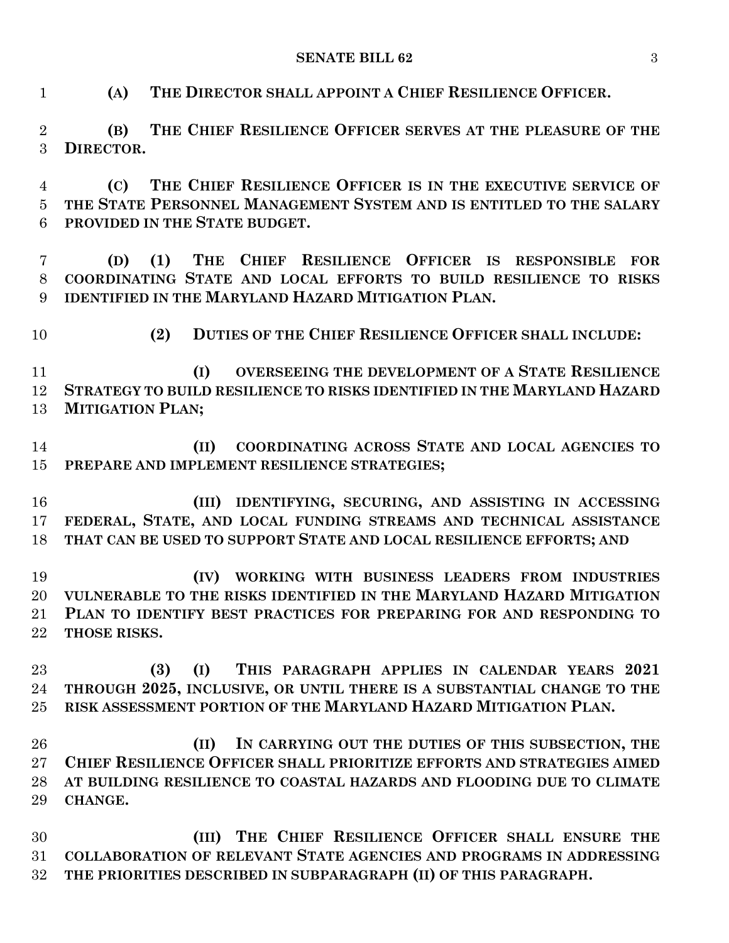**SENATE BILL 62** 3

**(A) THE DIRECTOR SHALL APPOINT A CHIEF RESILIENCE OFFICER.**

 **(B) THE CHIEF RESILIENCE OFFICER SERVES AT THE PLEASURE OF THE DIRECTOR.**

 **(C) THE CHIEF RESILIENCE OFFICER IS IN THE EXECUTIVE SERVICE OF THE STATE PERSONNEL MANAGEMENT SYSTEM AND IS ENTITLED TO THE SALARY PROVIDED IN THE STATE BUDGET.**

 **(D) (1) THE CHIEF RESILIENCE OFFICER IS RESPONSIBLE FOR COORDINATING STATE AND LOCAL EFFORTS TO BUILD RESILIENCE TO RISKS IDENTIFIED IN THE MARYLAND HAZARD MITIGATION PLAN.**

**(2) DUTIES OF THE CHIEF RESILIENCE OFFICER SHALL INCLUDE:**

 **(I) OVERSEEING THE DEVELOPMENT OF A STATE RESILIENCE STRATEGY TO BUILD RESILIENCE TO RISKS IDENTIFIED IN THE MARYLAND HAZARD MITIGATION PLAN;**

 **(II) COORDINATING ACROSS STATE AND LOCAL AGENCIES TO PREPARE AND IMPLEMENT RESILIENCE STRATEGIES;**

 **(III) IDENTIFYING, SECURING, AND ASSISTING IN ACCESSING FEDERAL, STATE, AND LOCAL FUNDING STREAMS AND TECHNICAL ASSISTANCE THAT CAN BE USED TO SUPPORT STATE AND LOCAL RESILIENCE EFFORTS; AND**

 **(IV) WORKING WITH BUSINESS LEADERS FROM INDUSTRIES VULNERABLE TO THE RISKS IDENTIFIED IN THE MARYLAND HAZARD MITIGATION PLAN TO IDENTIFY BEST PRACTICES FOR PREPARING FOR AND RESPONDING TO THOSE RISKS.**

 **(3) (I) THIS PARAGRAPH APPLIES IN CALENDAR YEARS 2021 THROUGH 2025, INCLUSIVE, OR UNTIL THERE IS A SUBSTANTIAL CHANGE TO THE RISK ASSESSMENT PORTION OF THE MARYLAND HAZARD MITIGATION PLAN.**

 **(II) IN CARRYING OUT THE DUTIES OF THIS SUBSECTION, THE CHIEF RESILIENCE OFFICER SHALL PRIORITIZE EFFORTS AND STRATEGIES AIMED AT BUILDING RESILIENCE TO COASTAL HAZARDS AND FLOODING DUE TO CLIMATE CHANGE.**

 **(III) THE CHIEF RESILIENCE OFFICER SHALL ENSURE THE COLLABORATION OF RELEVANT STATE AGENCIES AND PROGRAMS IN ADDRESSING THE PRIORITIES DESCRIBED IN SUBPARAGRAPH (II) OF THIS PARAGRAPH.**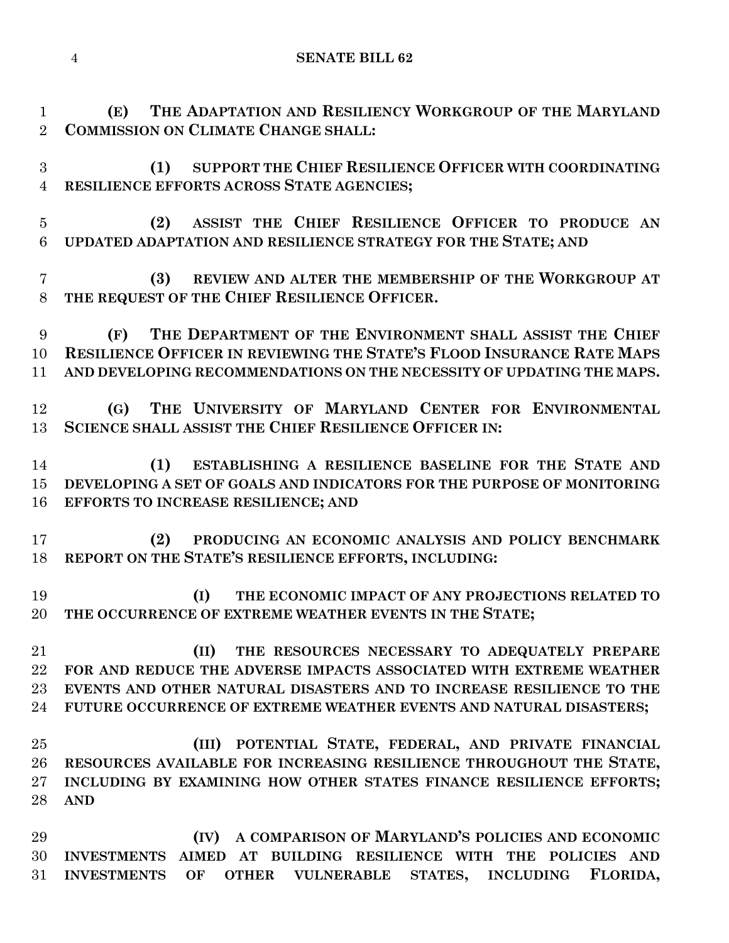**SENATE BILL 62**

 **(E) THE ADAPTATION AND RESILIENCY WORKGROUP OF THE MARYLAND COMMISSION ON CLIMATE CHANGE SHALL:**

 **(1) SUPPORT THE CHIEF RESILIENCE OFFICER WITH COORDINATING RESILIENCE EFFORTS ACROSS STATE AGENCIES;**

 **(2) ASSIST THE CHIEF RESILIENCE OFFICER TO PRODUCE AN UPDATED ADAPTATION AND RESILIENCE STRATEGY FOR THE STATE; AND**

 **(3) REVIEW AND ALTER THE MEMBERSHIP OF THE WORKGROUP AT THE REQUEST OF THE CHIEF RESILIENCE OFFICER.**

 **(F) THE DEPARTMENT OF THE ENVIRONMENT SHALL ASSIST THE CHIEF RESILIENCE OFFICER IN REVIEWING THE STATE'S FLOOD INSURANCE RATE MAPS AND DEVELOPING RECOMMENDATIONS ON THE NECESSITY OF UPDATING THE MAPS.**

 **(G) THE UNIVERSITY OF MARYLAND CENTER FOR ENVIRONMENTAL SCIENCE SHALL ASSIST THE CHIEF RESILIENCE OFFICER IN:**

 **(1) ESTABLISHING A RESILIENCE BASELINE FOR THE STATE AND DEVELOPING A SET OF GOALS AND INDICATORS FOR THE PURPOSE OF MONITORING EFFORTS TO INCREASE RESILIENCE; AND**

 **(2) PRODUCING AN ECONOMIC ANALYSIS AND POLICY BENCHMARK REPORT ON THE STATE'S RESILIENCE EFFORTS, INCLUDING:**

 **(I) THE ECONOMIC IMPACT OF ANY PROJECTIONS RELATED TO THE OCCURRENCE OF EXTREME WEATHER EVENTS IN THE STATE;**

 **(II) THE RESOURCES NECESSARY TO ADEQUATELY PREPARE FOR AND REDUCE THE ADVERSE IMPACTS ASSOCIATED WITH EXTREME WEATHER EVENTS AND OTHER NATURAL DISASTERS AND TO INCREASE RESILIENCE TO THE FUTURE OCCURRENCE OF EXTREME WEATHER EVENTS AND NATURAL DISASTERS;**

 **(III) POTENTIAL STATE, FEDERAL, AND PRIVATE FINANCIAL RESOURCES AVAILABLE FOR INCREASING RESILIENCE THROUGHOUT THE STATE, INCLUDING BY EXAMINING HOW OTHER STATES FINANCE RESILIENCE EFFORTS; AND**

 **(IV) A COMPARISON OF MARYLAND'S POLICIES AND ECONOMIC INVESTMENTS AIMED AT BUILDING RESILIENCE WITH THE POLICIES AND INVESTMENTS OF OTHER VULNERABLE STATES, INCLUDING FLORIDA,**